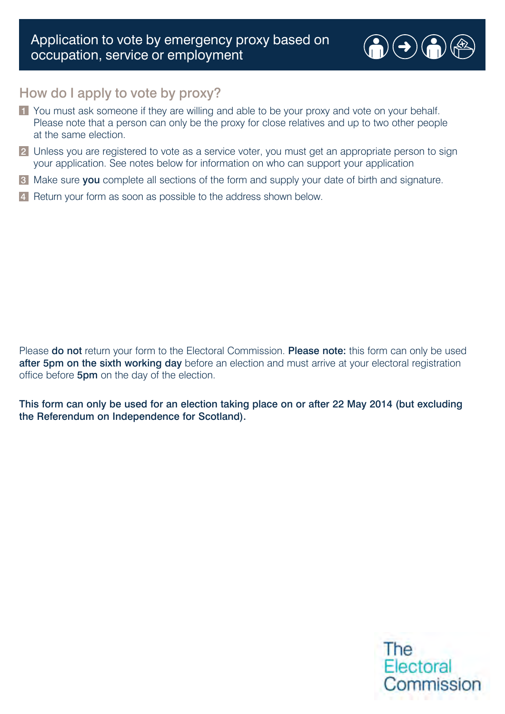

## How do I apply to vote by proxy?

- 1 You must ask someone if they are willing and able to be your proxy and vote on your behalf. Please note that a person can only be the proxy for close relatives and up to two other people at the same election.
- 2 Unless you are registered to vote as a service voter, you must get an appropriate person to sign your application. See notes below for information on who can support your application
- 3 Make sure you complete all sections of the form and supply your date of birth and signature.
- 4 Return your form as soon as possible to the address shown below.

Please **do not** return your form to the Electoral Commission. Please note: this form can only be used after 5pm on the sixth working day before an election and must arrive at your electoral registration office before **5pm** on the day of the election.

This form can only be used for an election taking place on or after 22 May 2014 (but excluding the Referendum on Independence for Scotland).

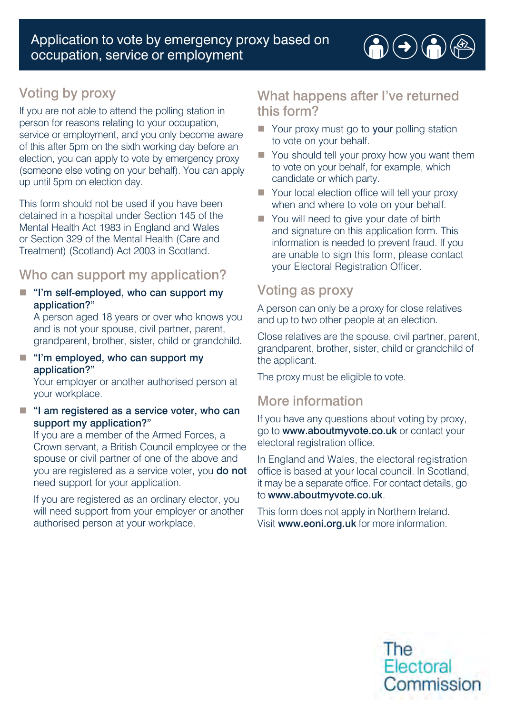# Voting by proxy

If you are not able to attend the polling station in person for reasons relating to your occupation, service or employment, and you only become aware of this after 5pm on the sixth working day before an election, you can apply to vote by emergency proxy (someone else voting on your behalf). You can apply up until 5pm on election day.

This form should not be used if you have been detained in a hospital under Section 145 of the Mental Health Act 1983 in England and Wales or Section 329 of the Mental Health (Care and Treatment) (Scotland) Act 2003 in Scotland.

## Who can support my application?

 $\blacksquare$  "I'm self-employed, who can support my application?"

A person aged 18 years or over who knows you and is not your spouse, civil partner, parent, grandparent, brother, sister, child or grandchild.

 $\blacksquare$  "I'm employed, who can support my application?"

Your employer or another authorised person at your workplace.

 $\blacksquare$  "I am registered as a service voter, who can support my application?"

If you are a member of the Armed Forces, a Crown servant, a British Council employee or the spouse or civil partner of one of the above and you are registered as a service voter, you do not need support for your application.

 If you are registered as an ordinary elector, you will need support from your employer or another authorised person at your workplace.

## What happens after I've returned this form?

 $\textcolor{red}{\bigcirc} \textcolor{blue}{\bigcirc} \textcolor{blue}{\bigcirc} \textcolor{blue}{\bigcirc} \textcolor{blue}{\bigcirc} \textcolor{blue}{\bigcirc}$ 

- $\blacksquare$  Your proxy must go to your polling station to vote on your behalf.
- $\blacksquare$  You should tell your proxy how you want them to vote on your behalf, for example, which candidate or which party.
- Your local election office will tell your proxy when and where to vote on your behalf.
- You will need to give your date of birth and signature on this application form. This information is needed to prevent fraud. If you are unable to sign this form, please contact your Electoral Registration Officer.

# Voting as proxy

A person can only be a proxy for close relatives and up to two other people at an election.

Close relatives are the spouse, civil partner, parent, grandparent, brother, sister, child or grandchild of the applicant.

The proxy must be eligible to vote.

# More information

If you have any questions about voting by proxy, go to [www.aboutmyvote.co.uk](http://www.aboutmyvote.co.uk) or contact your electoral registration office.

In England and Wales, the electoral registration office is based at your local council. In Scotland, it may be a separate office. For contact details, go to [www.aboutmyvote.co.uk](http://www.aboutmyvote.co.uk).

This form does not apply in Northern Ireland. Visit [www.eoni.org.uk](http://www.eoni.org.uk) for more information.

> The Electoral Commission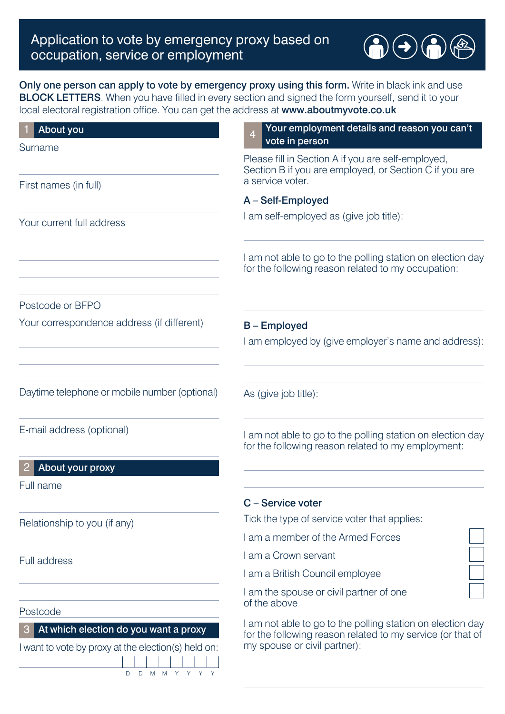

### Only one person can apply to vote by emergency proxy using this form. Write in black ink and use BLOCK LETTERS. When you have filled in every section and signed the form yourself, send it to your local electoral registration office. You can get the address at [www.aboutmyvote.co.uk](http://www.aboutmyvote.co.uk)

| About you                                                                                       | Your employment details and reason you can't<br>$\overline{4}$<br>vote in person                                                                         |
|-------------------------------------------------------------------------------------------------|----------------------------------------------------------------------------------------------------------------------------------------------------------|
| Surname                                                                                         |                                                                                                                                                          |
|                                                                                                 | Please fill in Section A if you are self-employed,<br>Section B if you are employed, or Section C if you are                                             |
| First names (in full)                                                                           | a service voter.                                                                                                                                         |
|                                                                                                 | A - Self-Employed                                                                                                                                        |
| Your current full address                                                                       | I am self-employed as (give job title):                                                                                                                  |
|                                                                                                 | I am not able to go to the polling station on election day<br>for the following reason related to my occupation:                                         |
| Postcode or BFPO                                                                                |                                                                                                                                                          |
| Your correspondence address (if different)                                                      | <b>B-Employed</b>                                                                                                                                        |
|                                                                                                 | I am employed by (give employer's name and address):                                                                                                     |
| Daytime telephone or mobile number (optional)                                                   | As (give job title):                                                                                                                                     |
| E-mail address (optional)                                                                       | I am not able to go to the polling station on election day<br>for the following reason related to my employment:                                         |
| About your proxy                                                                                |                                                                                                                                                          |
| Full name                                                                                       |                                                                                                                                                          |
|                                                                                                 | C - Service voter                                                                                                                                        |
| Relationship to you (if any)                                                                    | Tick the type of service voter that applies:                                                                                                             |
|                                                                                                 | I am a member of the Armed Forces                                                                                                                        |
| <b>Full address</b>                                                                             | I am a Crown servant                                                                                                                                     |
|                                                                                                 | I am a British Council employee                                                                                                                          |
| Postcode                                                                                        | I am the spouse or civil partner of one<br>of the above                                                                                                  |
| At which election do you want a proxy<br>З<br>want to vote by proxy at the election(s) held on: | I am not able to go to the polling station on election day<br>for the following reason related to my service (or that of<br>my spouse or civil partner): |
| D D M M Y Y Y                                                                                   |                                                                                                                                                          |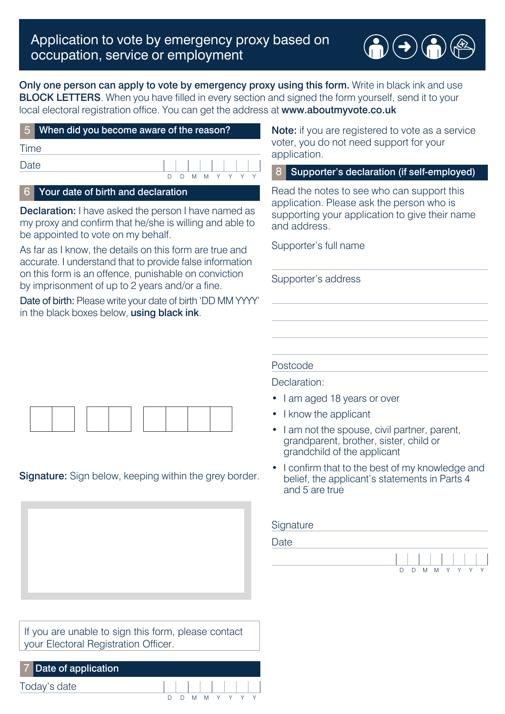

### Only one person can apply to vote by emergency proxy using this form. Write in black ink and use **BLOCK LETTERS**. When you have filled in every section and signed the form yourself, send it to your local electoral registration office. You can get the address at [www.aboutmyvote.co.uk](http://www.aboutmyvote.co.uk)

|             | 5 When did you become aware of the reason?               |  |  |  |  |  |  |                 |  |
|-------------|----------------------------------------------------------|--|--|--|--|--|--|-----------------|--|
| <b>Time</b> |                                                          |  |  |  |  |  |  |                 |  |
| Date        |                                                          |  |  |  |  |  |  |                 |  |
|             |                                                          |  |  |  |  |  |  | D D M M Y Y Y Y |  |
|             | L.C. I. Maccula da ta a a filici da basal da alamatica n |  |  |  |  |  |  |                 |  |

### Your date of birth and declaration

**Declaration:** I have asked the person I have named as my proxy and confirm that he/she is willing and able to be appointed to vote on my behalf.

As far as I know, the details on this form are true and accurate. I understand that to provide false information on this form is an offence, punishable on conviction by imprisonment of up to 2 years and/or a fine.

Date of birth: Please write your date of birth 'DD MM YYYY' in the black boxes below, using black ink.



### **Signature:** Sign below, keeping within the grey border.

If you are unable to sign this form, please contact your Electoral Registration Officer.

| 7 Date of application |  |  |                 |  |  |
|-----------------------|--|--|-----------------|--|--|
| Today's date          |  |  |                 |  |  |
|                       |  |  | D D M M Y Y Y Y |  |  |

Note: if you are registered to vote as a service voter, you do not need support for your application.

### 8 Supporter's declaration (if self-employed)

Read the notes to see who can support this application. Please ask the person who is supporting your application to give their name and address.

Supporter's full name

Supporter's address

#### Postcode

Declaration:

- I am aged 18 years or over
- I know the applicant
- I am not the spouse, civil partner, parent, grandparent, brother, sister, child or grandchild of the applicant
- I confirm that to the best of my knowledge and belief, the applicant's statements in Parts 4 and 5 are true

#### **Signature**